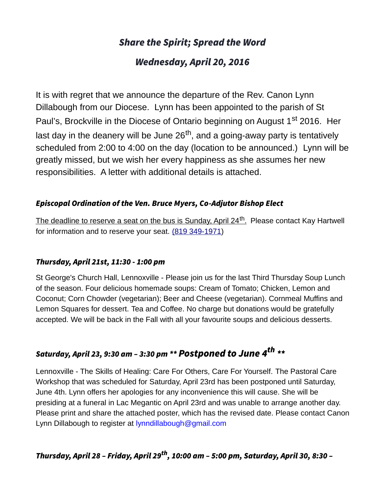# Share the Spirit; Spread the Word

# Wednesday, April 20, 2016

It is with regret that we announce the departure of the Rev. Canon Lynn Dillabough from our Diocese. Lynn has been appointed to the parish of St Paul's, Brockville in the Diocese of Ontario beginning on August 1<sup>st</sup> 2016. Her last day in the deanery will be June 26<sup>th</sup>, and a going-away party is tentatively scheduled from 2:00 to 4:00 on the day (location to be announced.) Lynn will be greatly missed, but we wish her every happiness as she assumes her new responsibilities. A letter with additional details is attached.

## Episcopal Ordination of the Ven. Bruce Myers, Co-Adjutor Bishop Elect

The deadline to reserve a seat on the bus is Sunday, April 24<sup>th</sup>. Please contact Kay Hartwell for information and to reserve your seat. [\(819 349-1971\)](tel:(819%20349-1971)

## Thursday, April 21st, 11:30 - 1:00 pm

St George's Church Hall, Lennoxville - Please join us for the last Third Thursday Soup Lunch of the season. Four delicious homemade soups: Cream of Tomato; Chicken, Lemon and Coconut; Corn Chowder (vegetarian); Beer and Cheese (vegetarian). Cornmeal Muffins and Lemon Squares for dessert. Tea and Coffee. No charge but donations would be gratefully accepted. We will be back in the Fall with all your favourite soups and delicious desserts.

# Saturday, April 23, 9:30 am - 3:30 pm \*\* Postponed to June 4<sup>th</sup> \*\*

Lennoxville - The Skills of Healing: Care For Others, Care For Yourself. The Pastoral Care Workshop that was scheduled for Saturday, April 23rd has been postponed until Saturday, June 4th. Lynn offers her apologies for any inconvenience this will cause. She will be presiding at a funeral in Lac Megantic on April 23rd and was unable to arrange another day. Please print and share the attached poster, which has the revised date. Please contact Canon Lynn Dillabough to register at [lynndillabough@gmail.com](https://webmail.ubishops.ca/owa/redir.aspx?SURL=hdjYUT7WCUNYqFZijozknMHWJ3aRy6vsqTzrilp56ZtP3_2s-BXTCG0AYQBpAGwAdABvADoAbAB5AG4AbgBkAGkAbABsAGEAYgBvAHUAZwBoAEAAZwBtAGEAaQBsAC4AYwBvAG0A&URL=mailto%3Alynndillabough@gmail.com)

# Thursday, April 28 - Friday, April 29<sup>th</sup>, 10:00 am - 5:00 pm, Saturday, April 30, 8:30 -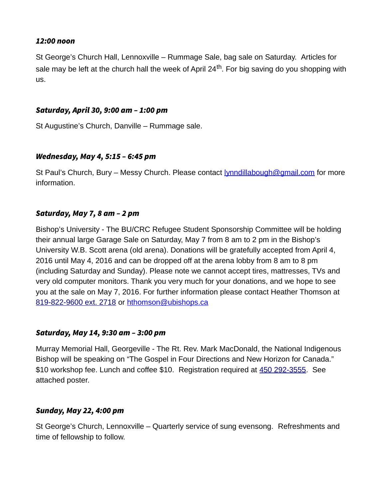#### 12:00 noon

St George's Church Hall, Lennoxville – Rummage Sale, bag sale on Saturday. Articles for sale may be left at the church hall the week of April  $24<sup>th</sup>$ . For big saving do you shopping with us.

#### Saturday, April 30, 9:00 am – 1:00 pm

St Augustine's Church, Danville – Rummage sale.

#### Wednesday, May 4, 5:15 – 6:45 pm

St Paul's Church, Bury – Messy Church. Please contact [lynndillabough@gmail.com](https://webmail.ubishops.ca/owa/redir.aspx?REF=Jg7pOaeVaJnb0V7L0ooVWq9IfNmhSvfXtp8q-vSIgtGGWY-SOGnTCAFtYWlsdG86bHlubmRpbGxhYm91Z2hAZ21haWwuY29t) for more information.

#### Saturday, May 7, 8 am – 2 pm

Bishop's University - The BU/CRC Refugee Student Sponsorship Committee will be holding their annual large Garage Sale on Saturday, May 7 from 8 am to 2 pm in the Bishop's University W.B. Scott arena (old arena). Donations will be gratefully accepted from April 4, 2016 until May 4, 2016 and can be dropped off at the arena lobby from 8 am to 8 pm (including Saturday and Sunday). Please note we cannot accept tires, mattresses, TVs and very old computer monitors. Thank you very much for your donations, and we hope to see you at the sale on May 7, 2016. For further information please contact Heather Thomson at [819-822-9600 ext. 2718](tel:819-822-9600%20ext.%202718) or [hthomson@ubishops.ca](https://webmail.ubishops.ca/owa/redir.aspx?REF=FLnmocQHos1aSS6_izloWzXz-vn948huD0NonW8iwmC1KgSOCljTCAFtYWlsdG86aHRob21zb25AdWJpc2hvcHMuY2E.)

#### Saturday, May 14, 9:30 am – 3:00 pm

Murray Memorial Hall, Georgeville - The Rt. Rev. Mark MacDonald, the National Indigenous Bishop will be speaking on "The Gospel in Four Directions and New Horizon for Canada." \$10 workshop fee. Lunch and coffee \$10. Registration required at [450 292-3555.](tel:450%20292-3555) See attached poster.

#### Sunday, May 22, 4:00 pm

St George's Church, Lennoxville – Quarterly service of sung evensong. Refreshments and time of fellowship to follow.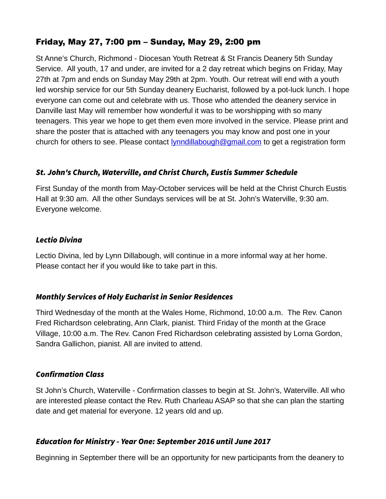## Friday, May 27, 7:00 pm – Sunday, May 29, 2:00 pm

St Anne's Church, Richmond - Diocesan Youth Retreat & St Francis Deanery 5th Sunday Service. All youth, 17 and under, are invited for a 2 day retreat which begins on Friday, May 27th at 7pm and ends on Sunday May 29th at 2pm. Youth. Our retreat will end with a youth led worship service for our 5th Sunday deanery Eucharist, followed by a pot-luck lunch. I hope everyone can come out and celebrate with us. Those who attended the deanery service in Danville last May will remember how wonderful it was to be worshipping with so many teenagers. This year we hope to get them even more involved in the service. Please print and share the poster that is attached with any teenagers you may know and post one in your church for others to see. Please contact **[lynndillabough@gmail.com](https://webmail.ubishops.ca/owa/redir.aspx?REF=E0UZUrCIOcgLF1G_4qECzq3OrI1Fn6f2O_cEChPNSZXMHau5IF7TCAFtYWlsdG86bHlubmRpbGxhYm91Z2hAZ21haWwuY29t)** to get a registration form

## St. John's Church, Waterville, and Christ Church, Eustis Summer Schedule

First Sunday of the month from May-October services will be held at the Christ Church Eustis Hall at 9:30 am. All the other Sundays services will be at St. John's Waterville, 9:30 am. Everyone welcome.

#### Lectio Divina

Lectio Divina, led by Lynn Dillabough, will continue in a more informal way at her home. Please contact her if you would like to take part in this.

#### Monthly Services of Holy Eucharist in Senior Residences

Third Wednesday of the month at the Wales Home, Richmond, 10:00 a.m. The Rev. Canon Fred Richardson celebrating, Ann Clark, pianist. Third Friday of the month at the Grace Village, 10:00 a.m. The Rev. Canon Fred Richardson celebrating assisted by Lorna Gordon, Sandra Gallichon, pianist. All are invited to attend.

#### Confirmation Class

St John's Church, Waterville - Confirmation classes to begin at St. John's, Waterville. All who are interested please contact the Rev. Ruth Charleau ASAP so that she can plan the starting date and get material for everyone. 12 years old and up.

#### Education for Ministry - Year One: September 2016 until June 2017

Beginning in September there will be an opportunity for new participants from the deanery to